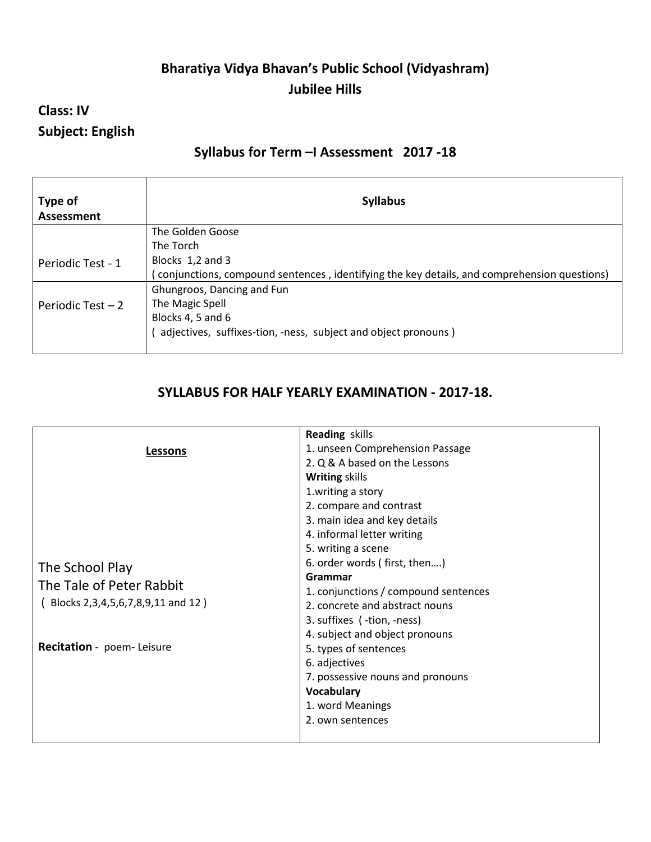# **Bharatiya Vidya Bhavan's Public School (Vidyashram) Jubilee Hills**

# **Class: IV Subject: English**

### **Syllabus for Term –I Assessment 2017 -18**

| Type of<br>Assessment | <b>Syllabus</b>                                                                              |
|-----------------------|----------------------------------------------------------------------------------------------|
|                       | The Golden Goose                                                                             |
|                       | The Torch                                                                                    |
| Periodic Test - 1     | Blocks 1,2 and 3                                                                             |
|                       | (conjunctions, compound sentences, identifying the key details, and comprehension questions) |
|                       | Ghungroos, Dancing and Fun                                                                   |
| Periodic Test $-2$    | The Magic Spell                                                                              |
|                       | Blocks 4, 5 and 6                                                                            |
|                       | adjectives, suffixes-tion, -ness, subject and object pronouns)                               |
|                       |                                                                                              |

### **SYLLABUS FOR HALF YEARLY EXAMINATION - 2017-18.**

| <b>Reading skills</b>                |
|--------------------------------------|
| 1. unseen Comprehension Passage      |
| 2. Q & A based on the Lessons        |
| <b>Writing skills</b>                |
| 1. writing a story                   |
| 2. compare and contrast              |
| 3. main idea and key details         |
| 4. informal letter writing           |
| 5. writing a scene                   |
| 6. order words (first, then)         |
| Grammar                              |
| 1. conjunctions / compound sentences |
| 2. concrete and abstract nouns       |
| 3. suffixes (-tion, -ness)           |
| 4. subject and object pronouns       |
| 5. types of sentences                |
| 6. adjectives                        |
| 7. possessive nouns and pronouns     |
| Vocabulary                           |
| 1. word Meanings                     |
| 2. own sentences                     |
|                                      |
|                                      |